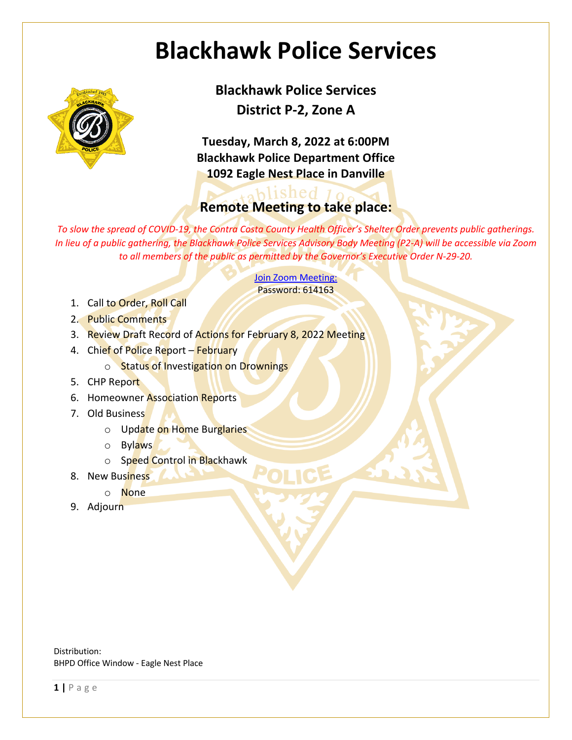## **Blackhawk Police Services**



**Blackhawk Police Services District P-2, Zone A**

**Tuesday, March 8, 2022 at 6:00PM Blackhawk Police Department Office 1092 Eagle Nest Place in Danville**

## ablished 10 **Remote Meeting to take place:**

*To slow the spread of COVID-19, the Contra Costa County Health Officer's Shelter Order prevents public gatherings. In lieu of a public gathering, the Blackhawk Police Services Advisory Body Meeting (P2-A) will be accessible via Zoom to all members of the public as permitted by the Governor's Executive Order N-29-20.*

> Join Zoom Meeting: Password: 614163

- 1. Call to Order, Roll Call
- 2. Public Comments
- 3. Review Draft Record of Actions for February 8, 2022 Meeting
- 4. Chief of Police Report February
	- o Status of Investigation on Drownings
- 5. CHP Report
- 6. Homeowner Association Reports
- 7. Old Business
	- o Update on Home Burglaries
	- o Bylaws
	- o Speed Control in Blackhawk
- 8. New Business
	- o None
- 9. Adjourn

Distribution: BHPD Office Window - Eagle Nest Place